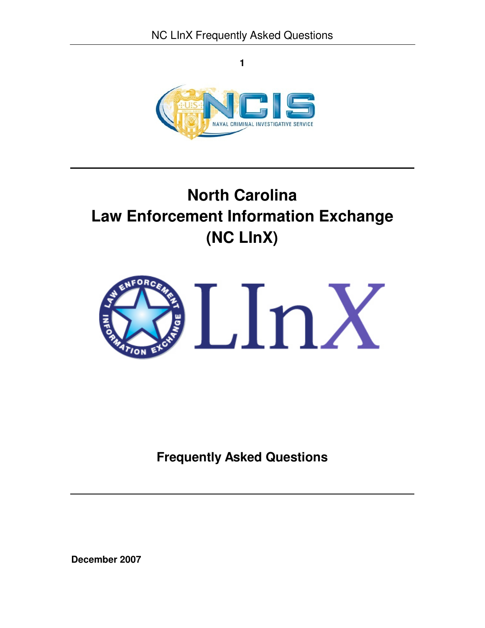**1** 



# **North Carolina Law Enforcement Information Exchange (NC LInX)**



**Frequently Asked Questions** 

**December 2007**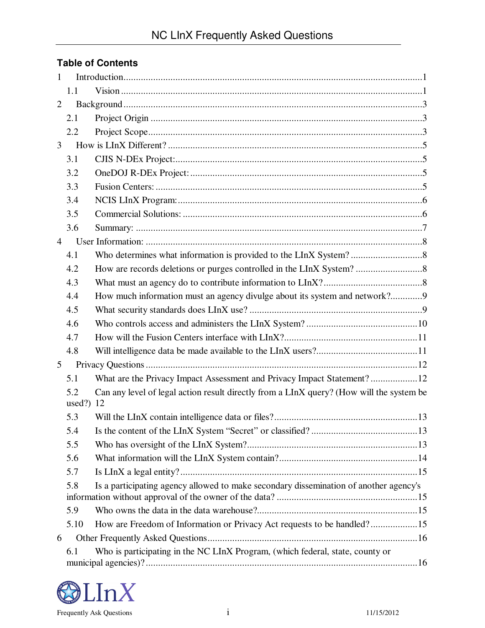# **Table of Contents**

| $\mathbf{1}$   |                                                                                      |                                                                                          |  |  |  |
|----------------|--------------------------------------------------------------------------------------|------------------------------------------------------------------------------------------|--|--|--|
|                | 1.1                                                                                  |                                                                                          |  |  |  |
| 2              |                                                                                      |                                                                                          |  |  |  |
|                | 2.1                                                                                  |                                                                                          |  |  |  |
|                | 2.2                                                                                  |                                                                                          |  |  |  |
| 3              |                                                                                      |                                                                                          |  |  |  |
|                | 3.1                                                                                  |                                                                                          |  |  |  |
|                | 3.2                                                                                  |                                                                                          |  |  |  |
|                | 3.3                                                                                  |                                                                                          |  |  |  |
|                | 3.4                                                                                  |                                                                                          |  |  |  |
|                | 3.5                                                                                  |                                                                                          |  |  |  |
|                | 3.6                                                                                  |                                                                                          |  |  |  |
| $\overline{4}$ |                                                                                      |                                                                                          |  |  |  |
|                | 4.1                                                                                  |                                                                                          |  |  |  |
|                | 4.2                                                                                  |                                                                                          |  |  |  |
|                | 4.3                                                                                  |                                                                                          |  |  |  |
|                | 4.4                                                                                  | How much information must an agency divulge about its system and network?9               |  |  |  |
|                | 4.5                                                                                  |                                                                                          |  |  |  |
|                | 4.6                                                                                  |                                                                                          |  |  |  |
|                | 4.7                                                                                  |                                                                                          |  |  |  |
|                | 4.8                                                                                  |                                                                                          |  |  |  |
| $\mathfrak{S}$ |                                                                                      |                                                                                          |  |  |  |
|                | 5.1                                                                                  | What are the Privacy Impact Assessment and Privacy Impact Statement?12                   |  |  |  |
|                | 5.2                                                                                  | Can any level of legal action result directly from a LInX query? (How will the system be |  |  |  |
|                | used? $)$ 12                                                                         |                                                                                          |  |  |  |
|                | 5.3                                                                                  |                                                                                          |  |  |  |
|                | 5.4                                                                                  |                                                                                          |  |  |  |
|                | 5.5                                                                                  |                                                                                          |  |  |  |
|                | 5.6                                                                                  |                                                                                          |  |  |  |
|                | 5.7                                                                                  |                                                                                          |  |  |  |
|                | 5.8                                                                                  | Is a participating agency allowed to make secondary dissemination of another agency's    |  |  |  |
|                | 5.9                                                                                  |                                                                                          |  |  |  |
|                | 5.10                                                                                 | How are Freedom of Information or Privacy Act requests to be handled?15                  |  |  |  |
| 6              |                                                                                      |                                                                                          |  |  |  |
|                | Who is participating in the NC LInX Program, (which federal, state, county or<br>6.1 |                                                                                          |  |  |  |

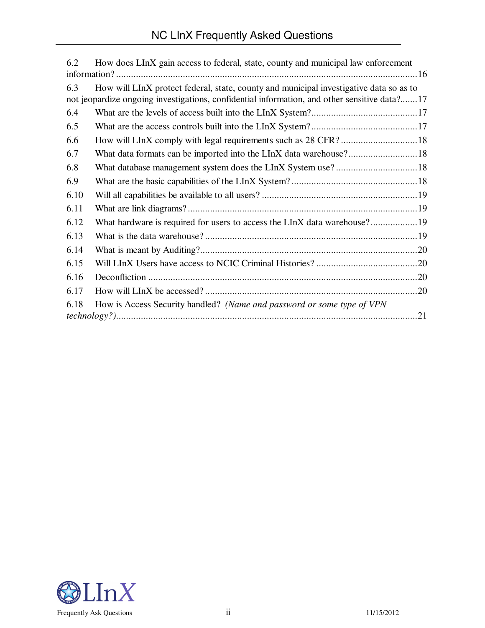| 6.2  | How does LInX gain access to federal, state, county and municipal law enforcement                                                                                                      |  |  |
|------|----------------------------------------------------------------------------------------------------------------------------------------------------------------------------------------|--|--|
|      |                                                                                                                                                                                        |  |  |
| 6.3  | How will LInX protect federal, state, county and municipal investigative data so as to<br>not jeopardize ongoing investigations, confidential information, and other sensitive data?17 |  |  |
| 6.4  |                                                                                                                                                                                        |  |  |
| 6.5  |                                                                                                                                                                                        |  |  |
| 6.6  |                                                                                                                                                                                        |  |  |
| 6.7  |                                                                                                                                                                                        |  |  |
| 6.8  |                                                                                                                                                                                        |  |  |
| 6.9  |                                                                                                                                                                                        |  |  |
| 6.10 |                                                                                                                                                                                        |  |  |
| 6.11 |                                                                                                                                                                                        |  |  |
| 6.12 | What hardware is required for users to access the LInX data warehouse?19                                                                                                               |  |  |
| 6.13 |                                                                                                                                                                                        |  |  |
| 6.14 |                                                                                                                                                                                        |  |  |
| 6.15 |                                                                                                                                                                                        |  |  |
| 6.16 |                                                                                                                                                                                        |  |  |
| 6.17 |                                                                                                                                                                                        |  |  |
| 6.18 | How is Access Security handled? (Name and password or some type of VPN                                                                                                                 |  |  |
|      | .21                                                                                                                                                                                    |  |  |

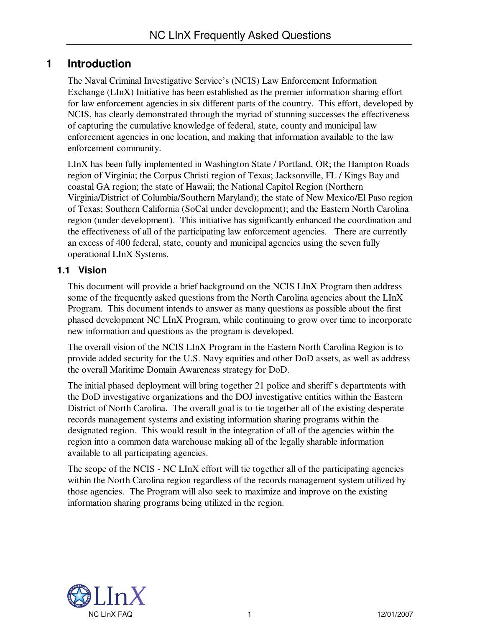# **1 Introduction**

The Naval Criminal Investigative Service's (NCIS) Law Enforcement Information Exchange (LInX) Initiative has been established as the premier information sharing effort for law enforcement agencies in six different parts of the country. This effort, developed by NCIS, has clearly demonstrated through the myriad of stunning successes the effectiveness of capturing the cumulative knowledge of federal, state, county and municipal law enforcement agencies in one location, and making that information available to the law enforcement community.

LInX has been fully implemented in Washington State / Portland, OR; the Hampton Roads region of Virginia; the Corpus Christi region of Texas; Jacksonville, FL / Kings Bay and coastal GA region; the state of Hawaii; the National Capitol Region (Northern Virginia/District of Columbia/Southern Maryland); the state of New Mexico/El Paso region of Texas; Southern California (SoCal under development); and the Eastern North Carolina region (under development). This initiative has significantly enhanced the coordination and the effectiveness of all of the participating law enforcement agencies. There are currently an excess of 400 federal, state, county and municipal agencies using the seven fully operational LInX Systems.

#### **1.1 Vision**

This document will provide a brief background on the NCIS LInX Program then address some of the frequently asked questions from the North Carolina agencies about the LInX Program. This document intends to answer as many questions as possible about the first phased development NC LInX Program, while continuing to grow over time to incorporate new information and questions as the program is developed.

The overall vision of the NCIS LInX Program in the Eastern North Carolina Region is to provide added security for the U.S. Navy equities and other DoD assets, as well as address the overall Maritime Domain Awareness strategy for DoD.

The initial phased deployment will bring together 21 police and sheriff's departments with the DoD investigative organizations and the DOJ investigative entities within the Eastern District of North Carolina. The overall goal is to tie together all of the existing desperate records management systems and existing information sharing programs within the designated region. This would result in the integration of all of the agencies within the region into a common data warehouse making all of the legally sharable information available to all participating agencies.

The scope of the NCIS - NC LInX effort will tie together all of the participating agencies within the North Carolina region regardless of the records management system utilized by those agencies. The Program will also seek to maximize and improve on the existing information sharing programs being utilized in the region.

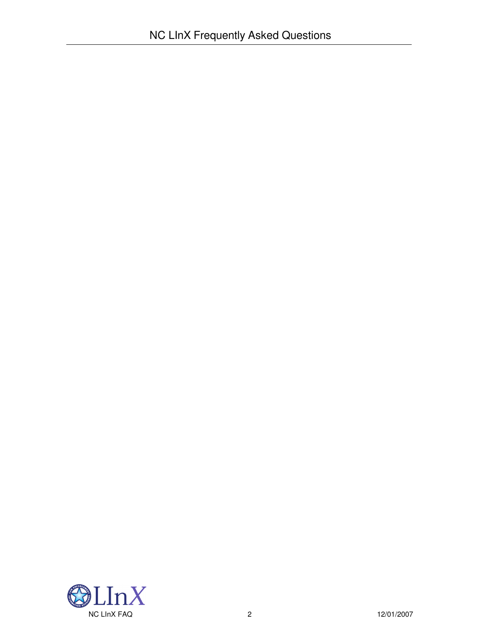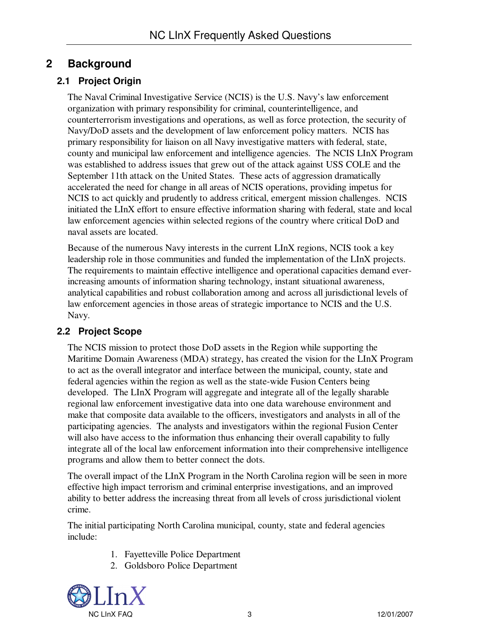# **2 Background**

# **2.1 Project Origin**

The Naval Criminal Investigative Service (NCIS) is the U.S. Navy's law enforcement organization with primary responsibility for criminal, counterintelligence, and counterterrorism investigations and operations, as well as force protection, the security of Navy/DoD assets and the development of law enforcement policy matters. NCIS has primary responsibility for liaison on all Navy investigative matters with federal, state, county and municipal law enforcement and intelligence agencies. The NCIS LInX Program was established to address issues that grew out of the attack against USS COLE and the September 11th attack on the United States. These acts of aggression dramatically accelerated the need for change in all areas of NCIS operations, providing impetus for NCIS to act quickly and prudently to address critical, emergent mission challenges. NCIS initiated the LInX effort to ensure effective information sharing with federal, state and local law enforcement agencies within selected regions of the country where critical DoD and naval assets are located.

Because of the numerous Navy interests in the current LInX regions, NCIS took a key leadership role in those communities and funded the implementation of the LInX projects. The requirements to maintain effective intelligence and operational capacities demand everincreasing amounts of information sharing technology, instant situational awareness, analytical capabilities and robust collaboration among and across all jurisdictional levels of law enforcement agencies in those areas of strategic importance to NCIS and the U.S. Navy.

# **2.2 Project Scope**

The NCIS mission to protect those DoD assets in the Region while supporting the Maritime Domain Awareness (MDA) strategy, has created the vision for the LInX Program to act as the overall integrator and interface between the municipal, county, state and federal agencies within the region as well as the state-wide Fusion Centers being developed. The LInX Program will aggregate and integrate all of the legally sharable regional law enforcement investigative data into one data warehouse environment and make that composite data available to the officers, investigators and analysts in all of the participating agencies. The analysts and investigators within the regional Fusion Center will also have access to the information thus enhancing their overall capability to fully integrate all of the local law enforcement information into their comprehensive intelligence programs and allow them to better connect the dots.

The overall impact of the LInX Program in the North Carolina region will be seen in more effective high impact terrorism and criminal enterprise investigations, and an improved ability to better address the increasing threat from all levels of cross jurisdictional violent crime.

The initial participating North Carolina municipal, county, state and federal agencies include:

- 1. Fayetteville Police Department
- 2. Goldsboro Police Department

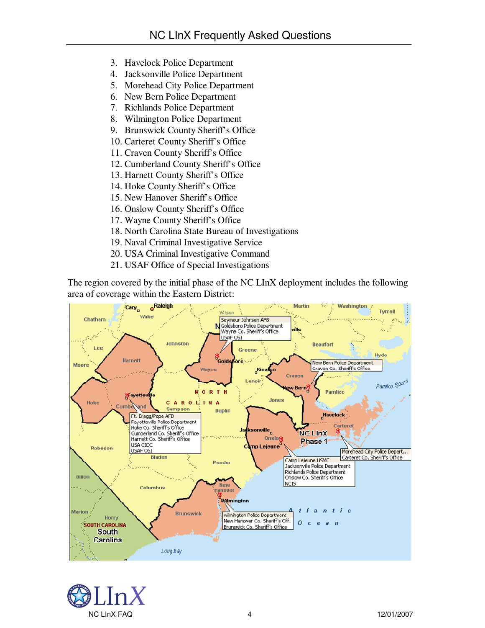- 3. Havelock Police Department
- 4. Jacksonville Police Department
- 5. Morehead City Police Department
- 6. New Bern Police Department
- 7. Richlands Police Department
- 8. Wilmington Police Department
- 9. Brunswick County Sheriff's Office
- 10. Carteret County Sheriff's Office
- 11. Craven County Sheriff's Office
- 12. Cumberland County Sheriff's Office
- 13. Harnett County Sheriff's Office
- 14. Hoke County Sheriff's Office
- 15. New Hanover Sheriff's Office
- 16. Onslow County Sheriff's Office
- 17. Wayne County Sheriff's Office
- 18. North Carolina State Bureau of Investigations
- 19. Naval Criminal Investigative Service
- 20. USA Criminal Investigative Command
- 21. USAF Office of Special Investigations

The region covered by the initial phase of the NC LInX deployment includes the following area of coverage within the Eastern District:



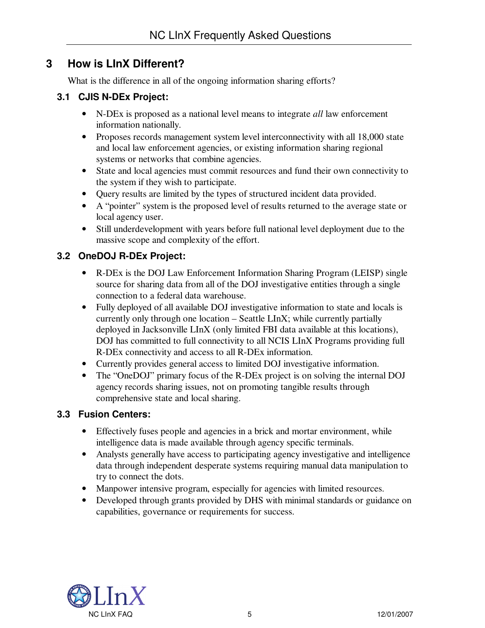# **3 How is LInX Different?**

What is the difference in all of the ongoing information sharing efforts?

# **3.1 CJIS N-DEx Project:**

- N-DEx is proposed as a national level means to integrate *all* law enforcement information nationally.
- Proposes records management system level interconnectivity with all 18,000 state and local law enforcement agencies, or existing information sharing regional systems or networks that combine agencies.
- State and local agencies must commit resources and fund their own connectivity to the system if they wish to participate.
- Query results are limited by the types of structured incident data provided.
- A "pointer" system is the proposed level of results returned to the average state or local agency user.
- Still underdevelopment with years before full national level deployment due to the massive scope and complexity of the effort.

# **3.2 OneDOJ R-DEx Project:**

- R-DEx is the DOJ Law Enforcement Information Sharing Program (LEISP) single source for sharing data from all of the DOJ investigative entities through a single connection to a federal data warehouse.
- Fully deployed of all available DOJ investigative information to state and locals is currently only through one location – Seattle LInX; while currently partially deployed in Jacksonville LInX (only limited FBI data available at this locations), DOJ has committed to full connectivity to all NCIS LInX Programs providing full R-DEx connectivity and access to all R-DEx information.
- Currently provides general access to limited DOJ investigative information.
- The "OneDOJ" primary focus of the R-DEx project is on solving the internal DOJ agency records sharing issues, not on promoting tangible results through comprehensive state and local sharing.

#### **3.3 Fusion Centers:**

- Effectively fuses people and agencies in a brick and mortar environment, while intelligence data is made available through agency specific terminals.
- Analysts generally have access to participating agency investigative and intelligence data through independent desperate systems requiring manual data manipulation to try to connect the dots.
- Manpower intensive program, especially for agencies with limited resources.
- Developed through grants provided by DHS with minimal standards or guidance on capabilities, governance or requirements for success.

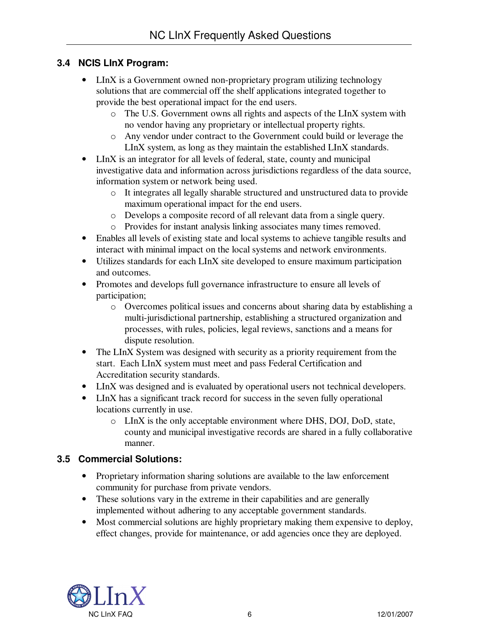## **3.4 NCIS LInX Program:**

- LInX is a Government owned non-proprietary program utilizing technology solutions that are commercial off the shelf applications integrated together to provide the best operational impact for the end users.
	- o The U.S. Government owns all rights and aspects of the LInX system with no vendor having any proprietary or intellectual property rights.
	- o Any vendor under contract to the Government could build or leverage the LInX system, as long as they maintain the established LInX standards.
- LInX is an integrator for all levels of federal, state, county and municipal investigative data and information across jurisdictions regardless of the data source, information system or network being used.
	- o It integrates all legally sharable structured and unstructured data to provide maximum operational impact for the end users.
	- o Develops a composite record of all relevant data from a single query.
	- o Provides for instant analysis linking associates many times removed.
- Enables all levels of existing state and local systems to achieve tangible results and interact with minimal impact on the local systems and network environments.
- Utilizes standards for each LInX site developed to ensure maximum participation and outcomes.
- Promotes and develops full governance infrastructure to ensure all levels of participation;
	- o Overcomes political issues and concerns about sharing data by establishing a multi-jurisdictional partnership, establishing a structured organization and processes, with rules, policies, legal reviews, sanctions and a means for dispute resolution.
- The LInX System was designed with security as a priority requirement from the start. Each LInX system must meet and pass Federal Certification and Accreditation security standards.
- LInX was designed and is evaluated by operational users not technical developers.
- LInX has a significant track record for success in the seven fully operational locations currently in use.
	- o LInX is the only acceptable environment where DHS, DOJ, DoD, state, county and municipal investigative records are shared in a fully collaborative manner.

#### **3.5 Commercial Solutions:**

- Proprietary information sharing solutions are available to the law enforcement community for purchase from private vendors.
- These solutions vary in the extreme in their capabilities and are generally implemented without adhering to any acceptable government standards.
- Most commercial solutions are highly proprietary making them expensive to deploy, effect changes, provide for maintenance, or add agencies once they are deployed.

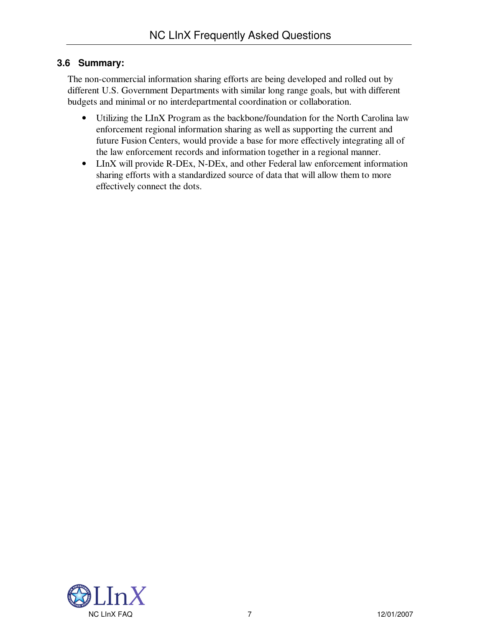#### **3.6 Summary:**

The non-commercial information sharing efforts are being developed and rolled out by different U.S. Government Departments with similar long range goals, but with different budgets and minimal or no interdepartmental coordination or collaboration.

- Utilizing the LInX Program as the backbone/foundation for the North Carolina law enforcement regional information sharing as well as supporting the current and future Fusion Centers, would provide a base for more effectively integrating all of the law enforcement records and information together in a regional manner.
- LInX will provide R-DEx, N-DEx, and other Federal law enforcement information sharing efforts with a standardized source of data that will allow them to more effectively connect the dots.

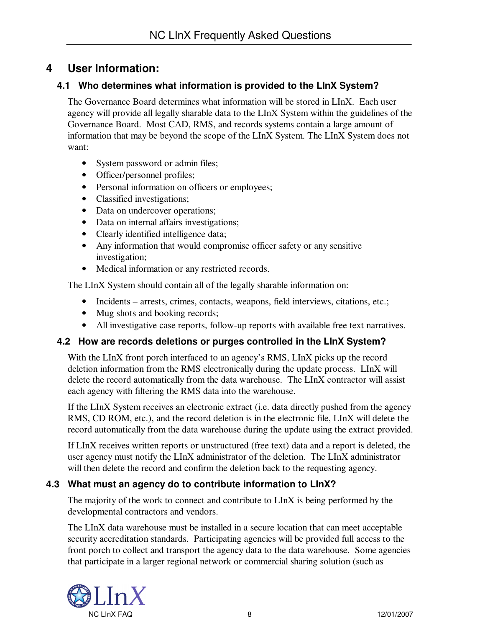# **4 User Information:**

# **4.1 Who determines what information is provided to the LInX System?**

The Governance Board determines what information will be stored in LInX. Each user agency will provide all legally sharable data to the LInX System within the guidelines of the Governance Board. Most CAD, RMS, and records systems contain a large amount of information that may be beyond the scope of the LInX System. The LInX System does not want:

- System password or admin files;
- Officer/personnel profiles;
- Personal information on officers or employees;
- Classified investigations;
- Data on undercover operations;
- Data on internal affairs investigations;
- Clearly identified intelligence data;
- Any information that would compromise officer safety or any sensitive investigation;
- Medical information or any restricted records.

The LInX System should contain all of the legally sharable information on:

- Incidents arrests, crimes, contacts, weapons, field interviews, citations, etc.;
- Mug shots and booking records;
- All investigative case reports, follow-up reports with available free text narratives.

#### **4.2 How are records deletions or purges controlled in the LInX System?**

With the LInX front porch interfaced to an agency's RMS, LInX picks up the record deletion information from the RMS electronically during the update process. LInX will delete the record automatically from the data warehouse. The LInX contractor will assist each agency with filtering the RMS data into the warehouse.

If the LInX System receives an electronic extract (i.e. data directly pushed from the agency RMS, CD ROM, etc.), and the record deletion is in the electronic file, LInX will delete the record automatically from the data warehouse during the update using the extract provided.

If LInX receives written reports or unstructured (free text) data and a report is deleted, the user agency must notify the LInX administrator of the deletion. The LInX administrator will then delete the record and confirm the deletion back to the requesting agency.

#### **4.3 What must an agency do to contribute information to LInX?**

The majority of the work to connect and contribute to LInX is being performed by the developmental contractors and vendors.

The LInX data warehouse must be installed in a secure location that can meet acceptable security accreditation standards. Participating agencies will be provided full access to the front porch to collect and transport the agency data to the data warehouse. Some agencies that participate in a larger regional network or commercial sharing solution (such as

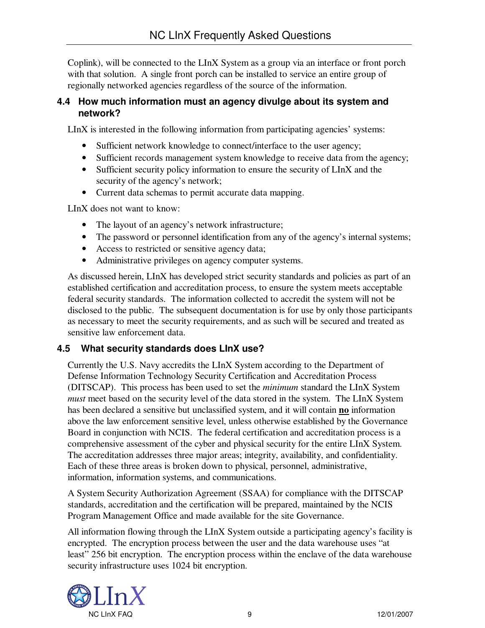Coplink), will be connected to the LInX System as a group via an interface or front porch with that solution. A single front porch can be installed to service an entire group of regionally networked agencies regardless of the source of the information.

#### **4.4 How much information must an agency divulge about its system and network?**

LInX is interested in the following information from participating agencies' systems:

- Sufficient network knowledge to connect/interface to the user agency;
- Sufficient records management system knowledge to receive data from the agency;
- Sufficient security policy information to ensure the security of LInX and the security of the agency's network;
- Current data schemas to permit accurate data mapping.

LInX does not want to know:

- The layout of an agency's network infrastructure;
- The password or personnel identification from any of the agency's internal systems;
- Access to restricted or sensitive agency data;
- Administrative privileges on agency computer systems.

As discussed herein, LInX has developed strict security standards and policies as part of an established certification and accreditation process, to ensure the system meets acceptable federal security standards. The information collected to accredit the system will not be disclosed to the public. The subsequent documentation is for use by only those participants as necessary to meet the security requirements, and as such will be secured and treated as sensitive law enforcement data.

#### **4.5 What security standards does LInX use?**

Currently the U.S. Navy accredits the LInX System according to the Department of Defense Information Technology Security Certification and Accreditation Process (DITSCAP). This process has been used to set the *minimum* standard the LInX System *must* meet based on the security level of the data stored in the system. The LInX System has been declared a sensitive but unclassified system, and it will contain **no** information above the law enforcement sensitive level, unless otherwise established by the Governance Board in conjunction with NCIS. The federal certification and accreditation process is a comprehensive assessment of the cyber and physical security for the entire LInX System. The accreditation addresses three major areas; integrity, availability, and confidentiality. Each of these three areas is broken down to physical, personnel, administrative, information, information systems, and communications.

A System Security Authorization Agreement (SSAA) for compliance with the DITSCAP standards, accreditation and the certification will be prepared, maintained by the NCIS Program Management Office and made available for the site Governance.

All information flowing through the LInX System outside a participating agency's facility is encrypted. The encryption process between the user and the data warehouse uses "at least" 256 bit encryption. The encryption process within the enclave of the data warehouse security infrastructure uses 1024 bit encryption.

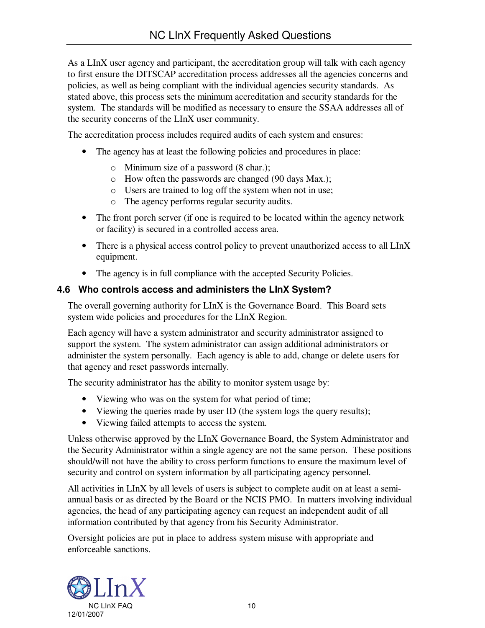As a LInX user agency and participant, the accreditation group will talk with each agency to first ensure the DITSCAP accreditation process addresses all the agencies concerns and policies, as well as being compliant with the individual agencies security standards. As stated above, this process sets the minimum accreditation and security standards for the system. The standards will be modified as necessary to ensure the SSAA addresses all of the security concerns of the LInX user community.

The accreditation process includes required audits of each system and ensures:

- The agency has at least the following policies and procedures in place:
	- o Minimum size of a password (8 char.);
	- o How often the passwords are changed (90 days Max.);
	- o Users are trained to log off the system when not in use;
	- o The agency performs regular security audits.
- The front porch server (if one is required to be located within the agency network or facility) is secured in a controlled access area.
- There is a physical access control policy to prevent unauthorized access to all LInX equipment.
- The agency is in full compliance with the accepted Security Policies.

#### **4.6 Who controls access and administers the LInX System?**

The overall governing authority for LInX is the Governance Board. This Board sets system wide policies and procedures for the LInX Region.

Each agency will have a system administrator and security administrator assigned to support the system. The system administrator can assign additional administrators or administer the system personally. Each agency is able to add, change or delete users for that agency and reset passwords internally.

The security administrator has the ability to monitor system usage by:

- Viewing who was on the system for what period of time;
- Viewing the queries made by user ID (the system logs the query results);
- Viewing failed attempts to access the system.

Unless otherwise approved by the LInX Governance Board, the System Administrator and the Security Administrator within a single agency are not the same person. These positions should/will not have the ability to cross perform functions to ensure the maximum level of security and control on system information by all participating agency personnel.

All activities in LInX by all levels of users is subject to complete audit on at least a semiannual basis or as directed by the Board or the NCIS PMO. In matters involving individual agencies, the head of any participating agency can request an independent audit of all information contributed by that agency from his Security Administrator.

Oversight policies are put in place to address system misuse with appropriate and enforceable sanctions.

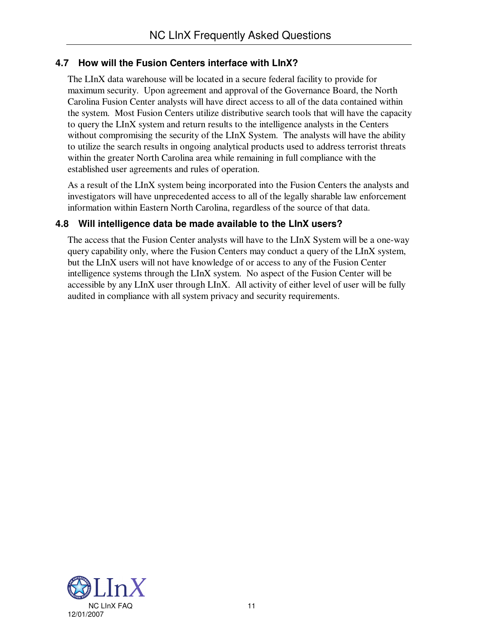# **4.7 How will the Fusion Centers interface with LInX?**

The LInX data warehouse will be located in a secure federal facility to provide for maximum security. Upon agreement and approval of the Governance Board, the North Carolina Fusion Center analysts will have direct access to all of the data contained within the system. Most Fusion Centers utilize distributive search tools that will have the capacity to query the LInX system and return results to the intelligence analysts in the Centers without compromising the security of the LInX System. The analysts will have the ability to utilize the search results in ongoing analytical products used to address terrorist threats within the greater North Carolina area while remaining in full compliance with the established user agreements and rules of operation.

As a result of the LInX system being incorporated into the Fusion Centers the analysts and investigators will have unprecedented access to all of the legally sharable law enforcement information within Eastern North Carolina, regardless of the source of that data.

# **4.8 Will intelligence data be made available to the LInX users?**

The access that the Fusion Center analysts will have to the LInX System will be a one-way query capability only, where the Fusion Centers may conduct a query of the LInX system, but the LInX users will not have knowledge of or access to any of the Fusion Center intelligence systems through the LInX system. No aspect of the Fusion Center will be accessible by any LInX user through LInX. All activity of either level of user will be fully audited in compliance with all system privacy and security requirements.

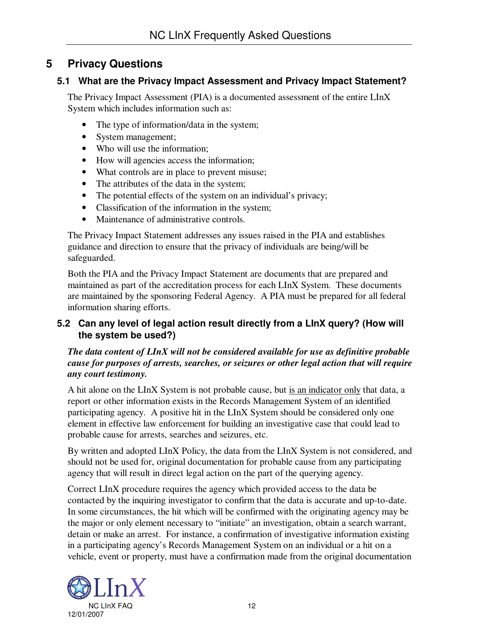# **5 Privacy Questions**

### **5.1 What are the Privacy Impact Assessment and Privacy Impact Statement?**

The Privacy Impact Assessment (PIA) is a documented assessment of the entire LInX System which includes information such as:

- The type of information/data in the system;
- System management;
- Who will use the information:
- How will agencies access the information;
- What controls are in place to prevent misuse;
- The attributes of the data in the system;
- The potential effects of the system on an individual's privacy;
- Classification of the information in the system;
- Maintenance of administrative controls.

The Privacy Impact Statement addresses any issues raised in the PIA and establishes guidance and direction to ensure that the privacy of individuals are being/will be safeguarded.

Both the PIA and the Privacy Impact Statement are documents that are prepared and maintained as part of the accreditation process for each LInX System. These documents are maintained by the sponsoring Federal Agency. A PIA must be prepared for all federal information sharing efforts.

# **5.2 Can any level of legal action result directly from a LInX query? (How will the system be used?)**

#### *The data content of LInX will not be considered available for use as definitive probable cause for purposes of arrests, searches, or seizures or other legal action that will require any court testimony.*

A hit alone on the LInX System is not probable cause, but is an indicator only that data, a report or other information exists in the Records Management System of an identified participating agency. A positive hit in the LInX System should be considered only one element in effective law enforcement for building an investigative case that could lead to probable cause for arrests, searches and seizures, etc.

By written and adopted LInX Policy, the data from the LInX System is not considered, and should not be used for, original documentation for probable cause from any participating agency that will result in direct legal action on the part of the querying agency.

Correct LInX procedure requires the agency which provided access to the data be contacted by the inquiring investigator to confirm that the data is accurate and up-to-date. In some circumstances, the hit which will be confirmed with the originating agency may be the major or only element necessary to "initiate" an investigation, obtain a search warrant, detain or make an arrest. For instance, a confirmation of investigative information existing in a participating agency's Records Management System on an individual or a hit on a vehicle, event or property, must have a confirmation made from the original documentation

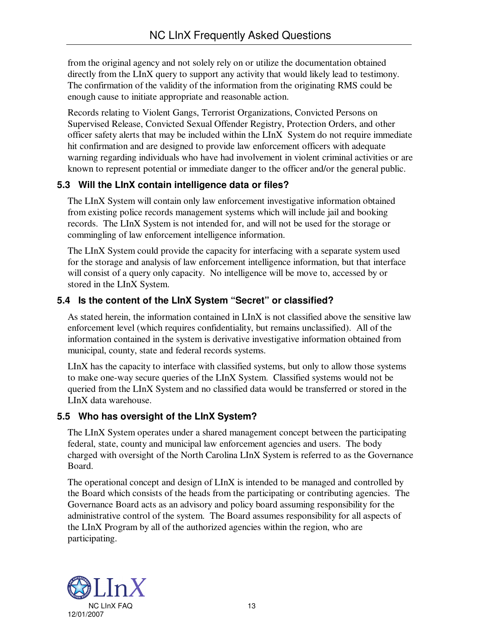from the original agency and not solely rely on or utilize the documentation obtained directly from the LInX query to support any activity that would likely lead to testimony. The confirmation of the validity of the information from the originating RMS could be enough cause to initiate appropriate and reasonable action.

Records relating to Violent Gangs, Terrorist Organizations, Convicted Persons on Supervised Release, Convicted Sexual Offender Registry, Protection Orders, and other officer safety alerts that may be included within the LInX System do not require immediate hit confirmation and are designed to provide law enforcement officers with adequate warning regarding individuals who have had involvement in violent criminal activities or are known to represent potential or immediate danger to the officer and/or the general public.

# **5.3 Will the LInX contain intelligence data or files?**

The LInX System will contain only law enforcement investigative information obtained from existing police records management systems which will include jail and booking records. The LInX System is not intended for, and will not be used for the storage or commingling of law enforcement intelligence information.

The LInX System could provide the capacity for interfacing with a separate system used for the storage and analysis of law enforcement intelligence information, but that interface will consist of a query only capacity. No intelligence will be move to, accessed by or stored in the LInX System.

# **5.4 Is the content of the LInX System "Secret" or classified?**

As stated herein, the information contained in LInX is not classified above the sensitive law enforcement level (which requires confidentiality, but remains unclassified). All of the information contained in the system is derivative investigative information obtained from municipal, county, state and federal records systems.

LInX has the capacity to interface with classified systems, but only to allow those systems to make one-way secure queries of the LInX System. Classified systems would not be queried from the LInX System and no classified data would be transferred or stored in the LInX data warehouse.

#### **5.5 Who has oversight of the LInX System?**

The LInX System operates under a shared management concept between the participating federal, state, county and municipal law enforcement agencies and users. The body charged with oversight of the North Carolina LInX System is referred to as the Governance Board.

The operational concept and design of LInX is intended to be managed and controlled by the Board which consists of the heads from the participating or contributing agencies. The Governance Board acts as an advisory and policy board assuming responsibility for the administrative control of the system. The Board assumes responsibility for all aspects of the LInX Program by all of the authorized agencies within the region, who are participating.

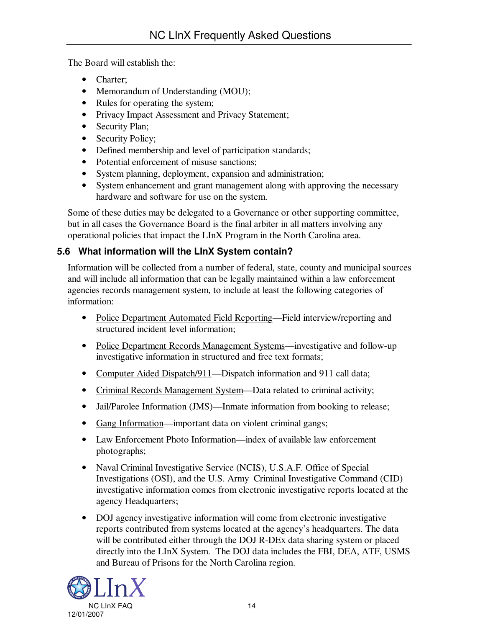The Board will establish the:

- Charter:
- Memorandum of Understanding (MOU);
- Rules for operating the system;
- Privacy Impact Assessment and Privacy Statement;
- Security Plan;
- Security Policy;
- Defined membership and level of participation standards;
- Potential enforcement of misuse sanctions;
- System planning, deployment, expansion and administration;
- System enhancement and grant management along with approving the necessary hardware and software for use on the system.

Some of these duties may be delegated to a Governance or other supporting committee, but in all cases the Governance Board is the final arbiter in all matters involving any operational policies that impact the LInX Program in the North Carolina area.

# **5.6 What information will the LInX System contain?**

Information will be collected from a number of federal, state, county and municipal sources and will include all information that can be legally maintained within a law enforcement agencies records management system, to include at least the following categories of information:

- Police Department Automated Field Reporting—Field interview/reporting and structured incident level information;
- Police Department Records Management Systems—investigative and follow-up investigative information in structured and free text formats;
- Computer Aided Dispatch/911—Dispatch information and 911 call data;
- Criminal Records Management System—Data related to criminal activity;
- Jail/Parolee Information (JMS)—Inmate information from booking to release;
- Gang Information—important data on violent criminal gangs;
- Law Enforcement Photo Information—index of available law enforcement photographs;
- Naval Criminal Investigative Service (NCIS), U.S.A.F. Office of Special Investigations (OSI), and the U.S. Army Criminal Investigative Command (CID) investigative information comes from electronic investigative reports located at the agency Headquarters;
- DOJ agency investigative information will come from electronic investigative reports contributed from systems located at the agency's headquarters. The data will be contributed either through the DOJ R-DEx data sharing system or placed directly into the LInX System. The DOJ data includes the FBI, DEA, ATF, USMS and Bureau of Prisons for the North Carolina region.

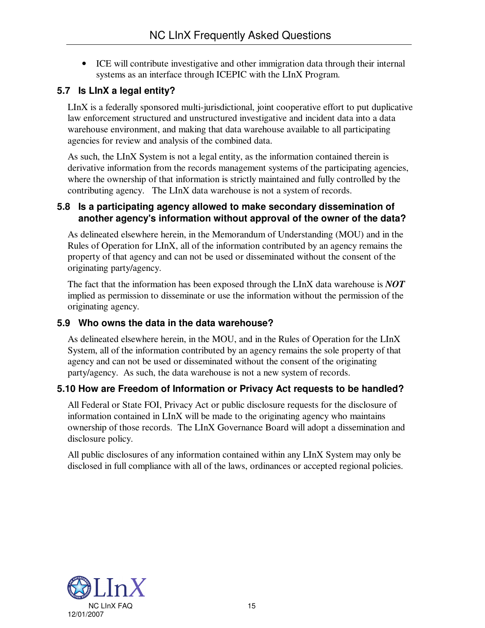• ICE will contribute investigative and other immigration data through their internal systems as an interface through ICEPIC with the LInX Program.

# **5.7 Is LInX a legal entity?**

LInX is a federally sponsored multi-jurisdictional, joint cooperative effort to put duplicative law enforcement structured and unstructured investigative and incident data into a data warehouse environment, and making that data warehouse available to all participating agencies for review and analysis of the combined data.

As such, the LInX System is not a legal entity, as the information contained therein is derivative information from the records management systems of the participating agencies, where the ownership of that information is strictly maintained and fully controlled by the contributing agency. The LInX data warehouse is not a system of records.

#### **5.8 Is a participating agency allowed to make secondary dissemination of another agency's information without approval of the owner of the data?**

As delineated elsewhere herein, in the Memorandum of Understanding (MOU) and in the Rules of Operation for LInX, all of the information contributed by an agency remains the property of that agency and can not be used or disseminated without the consent of the originating party/agency.

The fact that the information has been exposed through the LInX data warehouse is *NOT* implied as permission to disseminate or use the information without the permission of the originating agency.

#### **5.9 Who owns the data in the data warehouse?**

As delineated elsewhere herein, in the MOU, and in the Rules of Operation for the LInX System, all of the information contributed by an agency remains the sole property of that agency and can not be used or disseminated without the consent of the originating party/agency. As such, the data warehouse is not a new system of records.

#### **5.10 How are Freedom of Information or Privacy Act requests to be handled?**

All Federal or State FOI, Privacy Act or public disclosure requests for the disclosure of information contained in LInX will be made to the originating agency who maintains ownership of those records. The LInX Governance Board will adopt a dissemination and disclosure policy.

All public disclosures of any information contained within any LInX System may only be disclosed in full compliance with all of the laws, ordinances or accepted regional policies.

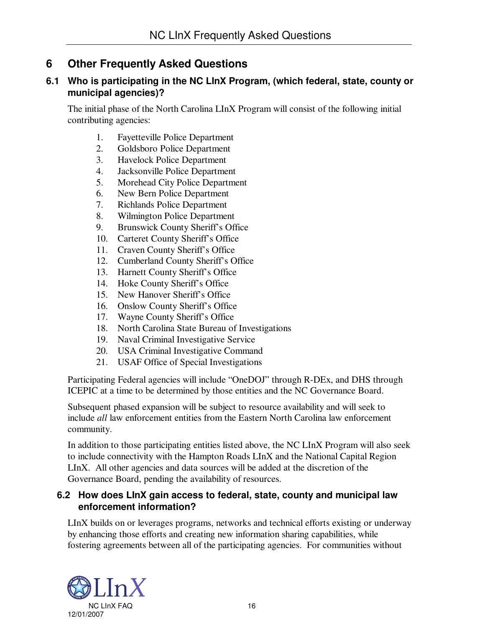# **6 Other Frequently Asked Questions**

#### **6.1 Who is participating in the NC LInX Program, (which federal, state, county or municipal agencies)?**

The initial phase of the North Carolina LInX Program will consist of the following initial contributing agencies:

- 1. Fayetteville Police Department
- 2. Goldsboro Police Department
- 3. Havelock Police Department
- 4. Jacksonville Police Department
- 5. Morehead City Police Department
- 6. New Bern Police Department
- 7. Richlands Police Department
- 8. Wilmington Police Department
- 9. Brunswick County Sheriff's Office
- 10. Carteret County Sheriff's Office
- 11. Craven County Sheriff's Office
- 12. Cumberland County Sheriff's Office
- 13. Harnett County Sheriff's Office
- 14. Hoke County Sheriff's Office
- 15. New Hanover Sheriff's Office
- 16. Onslow County Sheriff's Office
- 17. Wayne County Sheriff's Office
- 18. North Carolina State Bureau of Investigations
- 19. Naval Criminal Investigative Service
- 20. USA Criminal Investigative Command
- 21. USAF Office of Special Investigations

Participating Federal agencies will include "OneDOJ" through R-DEx, and DHS through ICEPIC at a time to be determined by those entities and the NC Governance Board.

Subsequent phased expansion will be subject to resource availability and will seek to include *all* law enforcement entities from the Eastern North Carolina law enforcement community.

In addition to those participating entities listed above, the NC LInX Program will also seek to include connectivity with the Hampton Roads LInX and the National Capital Region LInX. All other agencies and data sources will be added at the discretion of the Governance Board, pending the availability of resources.

#### **6.2 How does LInX gain access to federal, state, county and municipal law enforcement information?**

LInX builds on or leverages programs, networks and technical efforts existing or underway by enhancing those efforts and creating new information sharing capabilities, while fostering agreements between all of the participating agencies. For communities without

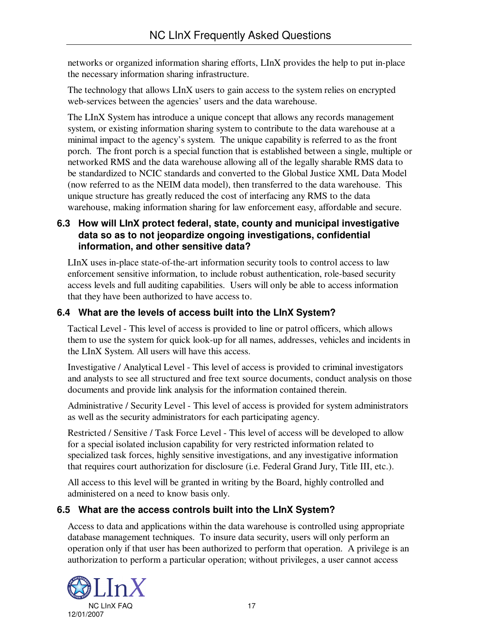networks or organized information sharing efforts, LInX provides the help to put in-place the necessary information sharing infrastructure.

The technology that allows LInX users to gain access to the system relies on encrypted web-services between the agencies' users and the data warehouse.

The LInX System has introduce a unique concept that allows any records management system, or existing information sharing system to contribute to the data warehouse at a minimal impact to the agency's system. The unique capability is referred to as the front porch. The front porch is a special function that is established between a single, multiple or networked RMS and the data warehouse allowing all of the legally sharable RMS data to be standardized to NCIC standards and converted to the Global Justice XML Data Model (now referred to as the NEIM data model), then transferred to the data warehouse. This unique structure has greatly reduced the cost of interfacing any RMS to the data warehouse, making information sharing for law enforcement easy, affordable and secure.

# **6.3 How will LInX protect federal, state, county and municipal investigative data so as to not jeopardize ongoing investigations, confidential information, and other sensitive data?**

LInX uses in-place state-of-the-art information security tools to control access to law enforcement sensitive information, to include robust authentication, role-based security access levels and full auditing capabilities. Users will only be able to access information that they have been authorized to have access to.

# **6.4 What are the levels of access built into the LInX System?**

Tactical Level - This level of access is provided to line or patrol officers, which allows them to use the system for quick look-up for all names, addresses, vehicles and incidents in the LInX System. All users will have this access.

Investigative / Analytical Level - This level of access is provided to criminal investigators and analysts to see all structured and free text source documents, conduct analysis on those documents and provide link analysis for the information contained therein.

Administrative / Security Level - This level of access is provided for system administrators as well as the security administrators for each participating agency.

Restricted / Sensitive / Task Force Level - This level of access will be developed to allow for a special isolated inclusion capability for very restricted information related to specialized task forces, highly sensitive investigations, and any investigative information that requires court authorization for disclosure (i.e. Federal Grand Jury, Title III, etc.).

All access to this level will be granted in writing by the Board, highly controlled and administered on a need to know basis only.

# **6.5 What are the access controls built into the LInX System?**

Access to data and applications within the data warehouse is controlled using appropriate database management techniques. To insure data security, users will only perform an operation only if that user has been authorized to perform that operation. A privilege is an authorization to perform a particular operation; without privileges, a user cannot access

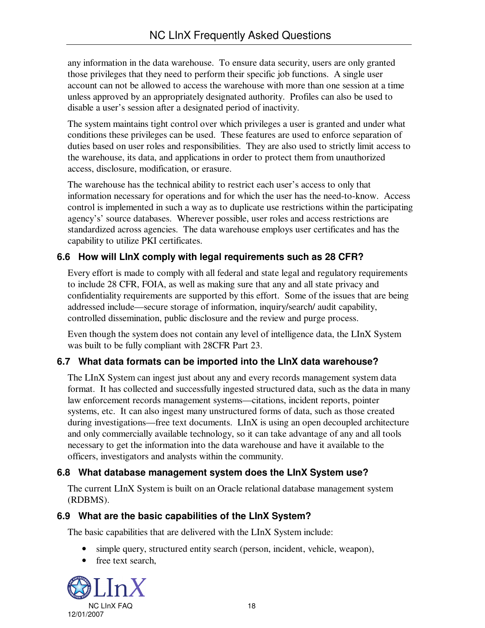any information in the data warehouse. To ensure data security, users are only granted those privileges that they need to perform their specific job functions. A single user account can not be allowed to access the warehouse with more than one session at a time unless approved by an appropriately designated authority. Profiles can also be used to disable a user's session after a designated period of inactivity.

The system maintains tight control over which privileges a user is granted and under what conditions these privileges can be used. These features are used to enforce separation of duties based on user roles and responsibilities. They are also used to strictly limit access to the warehouse, its data, and applications in order to protect them from unauthorized access, disclosure, modification, or erasure.

The warehouse has the technical ability to restrict each user's access to only that information necessary for operations and for which the user has the need-to-know. Access control is implemented in such a way as to duplicate use restrictions within the participating agency's' source databases. Wherever possible, user roles and access restrictions are standardized across agencies. The data warehouse employs user certificates and has the capability to utilize PKI certificates.

# **6.6 How will LInX comply with legal requirements such as 28 CFR?**

Every effort is made to comply with all federal and state legal and regulatory requirements to include 28 CFR, FOIA, as well as making sure that any and all state privacy and confidentiality requirements are supported by this effort. Some of the issues that are being addressed include—secure storage of information, inquiry/search/ audit capability, controlled dissemination, public disclosure and the review and purge process.

Even though the system does not contain any level of intelligence data, the LInX System was built to be fully compliant with 28CFR Part 23.

# **6.7 What data formats can be imported into the LInX data warehouse?**

The LInX System can ingest just about any and every records management system data format. It has collected and successfully ingested structured data, such as the data in many law enforcement records management systems—citations, incident reports, pointer systems, etc. It can also ingest many unstructured forms of data, such as those created during investigations—free text documents. LInX is using an open decoupled architecture and only commercially available technology, so it can take advantage of any and all tools necessary to get the information into the data warehouse and have it available to the officers, investigators and analysts within the community.

#### **6.8 What database management system does the LInX System use?**

The current LInX System is built on an Oracle relational database management system (RDBMS).

#### **6.9 What are the basic capabilities of the LInX System?**

The basic capabilities that are delivered with the LInX System include:

- simple query, structured entity search (person, incident, vehicle, weapon),
- free text search.

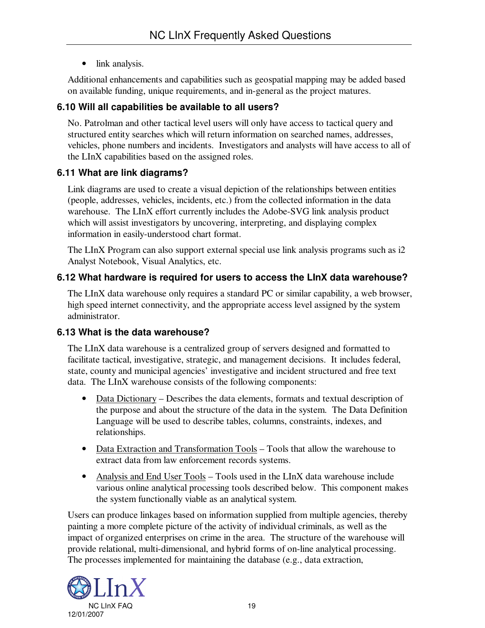• link analysis.

Additional enhancements and capabilities such as geospatial mapping may be added based on available funding, unique requirements, and in-general as the project matures.

# **6.10 Will all capabilities be available to all users?**

No. Patrolman and other tactical level users will only have access to tactical query and structured entity searches which will return information on searched names, addresses, vehicles, phone numbers and incidents. Investigators and analysts will have access to all of the LInX capabilities based on the assigned roles.

# **6.11 What are link diagrams?**

Link diagrams are used to create a visual depiction of the relationships between entities (people, addresses, vehicles, incidents, etc.) from the collected information in the data warehouse. The LInX effort currently includes the Adobe-SVG link analysis product which will assist investigators by uncovering, interpreting, and displaying complex information in easily-understood chart format.

The LInX Program can also support external special use link analysis programs such as i2 Analyst Notebook, Visual Analytics, etc.

# **6.12 What hardware is required for users to access the LInX data warehouse?**

The LInX data warehouse only requires a standard PC or similar capability, a web browser, high speed internet connectivity, and the appropriate access level assigned by the system administrator.

# **6.13 What is the data warehouse?**

The LInX data warehouse is a centralized group of servers designed and formatted to facilitate tactical, investigative, strategic, and management decisions. It includes federal, state, county and municipal agencies' investigative and incident structured and free text data. The LInX warehouse consists of the following components:

- Data Dictionary Describes the data elements, formats and textual description of the purpose and about the structure of the data in the system. The Data Definition Language will be used to describe tables, columns, constraints, indexes, and relationships.
- Data Extraction and Transformation Tools Tools that allow the warehouse to extract data from law enforcement records systems.
- Analysis and End User Tools Tools used in the LInX data warehouse include various online analytical processing tools described below. This component makes the system functionally viable as an analytical system.

Users can produce linkages based on information supplied from multiple agencies, thereby painting a more complete picture of the activity of individual criminals, as well as the impact of organized enterprises on crime in the area. The structure of the warehouse will provide relational, multi-dimensional, and hybrid forms of on-line analytical processing. The processes implemented for maintaining the database (e.g., data extraction,

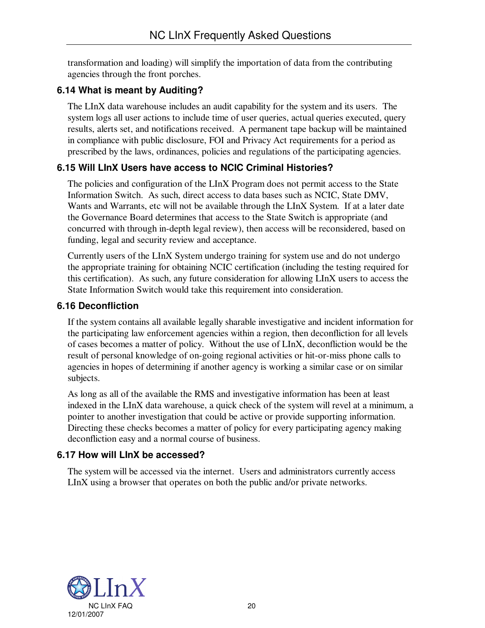transformation and loading) will simplify the importation of data from the contributing agencies through the front porches.

# **6.14 What is meant by Auditing?**

The LInX data warehouse includes an audit capability for the system and its users. The system logs all user actions to include time of user queries, actual queries executed, query results, alerts set, and notifications received. A permanent tape backup will be maintained in compliance with public disclosure, FOI and Privacy Act requirements for a period as prescribed by the laws, ordinances, policies and regulations of the participating agencies.

# **6.15 Will LInX Users have access to NCIC Criminal Histories?**

The policies and configuration of the LInX Program does not permit access to the State Information Switch. As such, direct access to data bases such as NCIC, State DMV, Wants and Warrants, etc will not be available through the LInX System. If at a later date the Governance Board determines that access to the State Switch is appropriate (and concurred with through in-depth legal review), then access will be reconsidered, based on funding, legal and security review and acceptance.

Currently users of the LInX System undergo training for system use and do not undergo the appropriate training for obtaining NCIC certification (including the testing required for this certification). As such, any future consideration for allowing LInX users to access the State Information Switch would take this requirement into consideration.

# **6.16 Deconfliction**

If the system contains all available legally sharable investigative and incident information for the participating law enforcement agencies within a region, then deconfliction for all levels of cases becomes a matter of policy. Without the use of LInX, deconfliction would be the result of personal knowledge of on-going regional activities or hit-or-miss phone calls to agencies in hopes of determining if another agency is working a similar case or on similar subjects.

As long as all of the available the RMS and investigative information has been at least indexed in the LInX data warehouse, a quick check of the system will revel at a minimum, a pointer to another investigation that could be active or provide supporting information. Directing these checks becomes a matter of policy for every participating agency making deconfliction easy and a normal course of business.

#### **6.17 How will LInX be accessed?**

The system will be accessed via the internet. Users and administrators currently access LInX using a browser that operates on both the public and/or private networks.